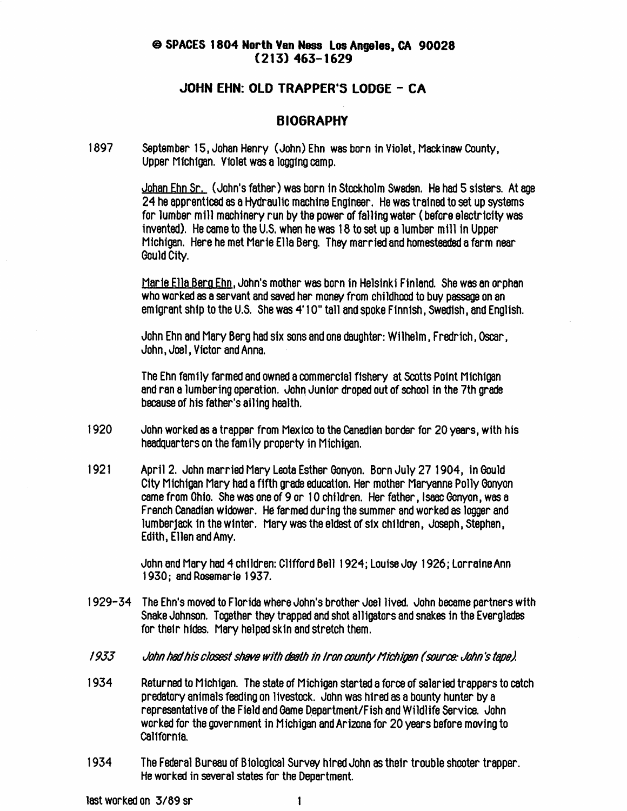#### ® SPACES 1804 North Van Noss Los Angeles, Cfi 90028  $(213)$  463-1629

#### JOHN EHN: OLD TRAPPER'S LODGE - CA

### BIOGRAPHY

1897 September 15, Johan Henry (John) Ehn was born in Violet, Mackinaw County, Upper Michigan. Violet was a logging camp.

> <u>Johan Ehn Sr.</u> (John's father) was born in Stockholm Sweden. He had 5 sisters. At age 24 he apprenticed as a Hydraulic machine Engineer. He was trained to set up systems for lumber mill machinery run by the power of falling water (before electricity was invented). He came to the U.S. when he was 18 to set up a lumber mill in Upper Michigan. Here he met Marie Ella Berg. They married and homesteaded a farm near Gould City.

Marie Ella Berg Ehn. John's mother was born in Helsinki Finland. She was an orphan who worked as a servant and saved her money from childhood to buy passage on an emigrant ship to the U.S. She was 4'10" tall and spoke Finnish, Swedish, and English.

John Ehn and Mary Berg had six sons and one daughter: Wilhelm, Fralrich, Oscar, John, Joel, Victor and Anna.

The Ehn family farmal and owned a commercial fishery at Scotts Point Michigan and ran a lumbering operation. John Junior droped out of school in the 7th grade because of his father's ailing health.

- 1920 John worked as a trapper from Mexico to the Canadian border for 20 years, with his headquarters on the family property in Michigan.
- 1921 April 2. John married Mary Leota Esther Gonyon. Born July 27 1904, in Gould City Michigan Mary had a fifth grade education. Her mother Maryanne Polly Gonyon came from Ohio. She was one of 9 or 10 children. Her father, Isaac Gonyon, was a French Canadian widower. He farmed during the summer and worked as logger and lumberjack In the winter. Mary was the eldest of six children, Joseph, Stephen, Edith, Ellen and Amy.

John and Mary had 4 children: Clifford Bell 1924; Louise Joy 1926; Lorraine Ann 1930; and Rosemarie 1937.

- 1929-34 The Ehn's moved to Floride where John's brother Joel lived. John became partners with Snake Johnson. Together they trapped and shot alligators and snakes in the Everglades for their hides. Mary helped skin and stretch them.
- 1933 John had his closest shave with death in Iron county Michigan (source: John's tape).
- 1934 Returned to Michigan. The state of Michigan started a force of salaried trappers to catch predatory animals feeding on livestock. John was hired as a bounty hunter by a representative of the Field and Game Department/Fish and Wildlife Service. John workal for the government in Michigan and Arizona for 20 years before moving to California.
- 1934 The Federal Bureau of Biological Survey hired John as their trouble shooter trapper. He worksl in several states for the Department.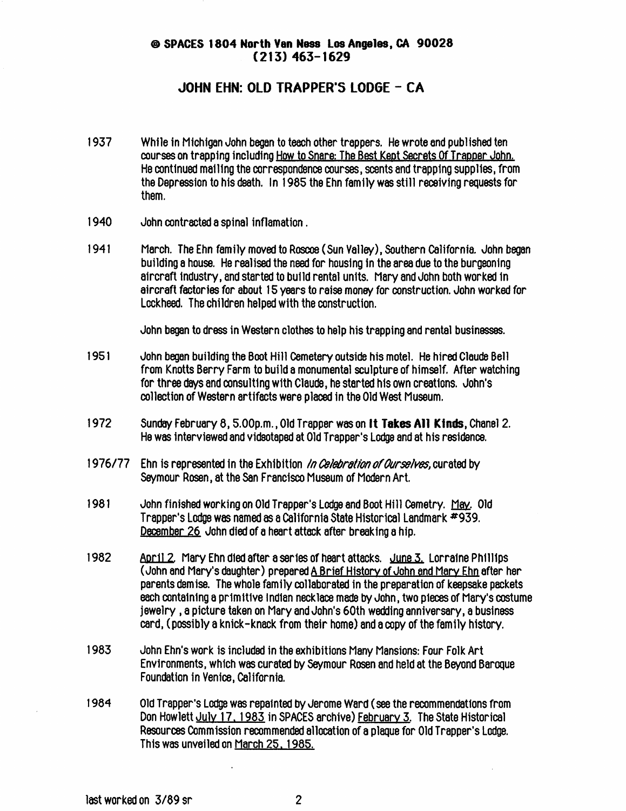#### ® SPACES 1804 North Van Ness Los Angolas, CA 90028  $(213)$  463-1629

#### JOHN EHN: OLD TRAPPER'S LODGE - CA

- 1937 While in Michigan John began to teach other trappers. He wrote and published ten courses on trapping including How to Snare: The Best Kept Secrets Of Trapper John. He continued mailing the correspondence courses, scents and trapping supplies, from the Depression to his death. In 1985 the Ehn family was still receiving requests for them.
- 1940 John contracted a spinal inflamation.
- 1941 March. The Ehn family moved to Roscoe (Sun Valley), Southern California. John began building a house. He realised the need for housing in the area due to the burgeoning aircraft industry, and started to build rental units. Mary and John both worked in aircraft factories for about 15 years to raise money for construction. John worked for Lockheed. The children helped with the construction.

John began to dress in Western clothes to help his trapping and rental businesses.

- 951 John began building the Boot Hill Cemetery outside his motel. He hired Claude Bell from Knotts Berry Farm to build a monumental sculpture of himself. After watching for three days and consulting with Claude, he started his own creations. John's collection of Western artifacts were placed in the Old West Museum.
- 1972 Sunday February 8, 5.00p.m., Old Trapper was on **It Takes All Kinds**, Chanel 2. He was interviewed and videotaped at Old Trapper's Lodge and at his residence.
- 1976/77 Ehn is represented in the Exhibition In Celebration of Ourselves, curated by Seymour Rosen, at the San Francisco Museum of Modern Art.
- 1981 John finished working on Old Trapper's Lodge and Boot Hill Cemetry. May. Old Trapper's Lodge was named as a California State Historical Landmark \*939. December 26 John died of a heart attack after breaking a hip.
- 1982 Aoril 2. Mary Ehn died after a series of heart attacks. June 3. Lorraine Phillips. (John and Mary's daughter) prepared A Brief History of John and Marv Ehn after her parents demise. The whole family collaborated in the preparation of keepsake packets each containing a primitive Indian necklace made by John, two pleces of Mary's costume jewelry , a picture taken on Mary and John's 60th wedding anniversary, a business card, (possibly a knick-knack from their home) and a copy of the family history.
- 1983 John Ehn's work is included in the exhibitions Many Mansions: Four Folk Art Environments, which was curated by Seymour Rosen and held at the Beyond Baroque Foundation in Venice, California.
- 1984 Old Trapper's Lodge was repainted by Jerome Ward (see the recommendations from Don Howlett July 17.1985 in SPACES archive) February 5. The State Historical Resources Commission recommended allocation of a plaque for Old Trapper's Lodge. This was unveiled on March 25.1985.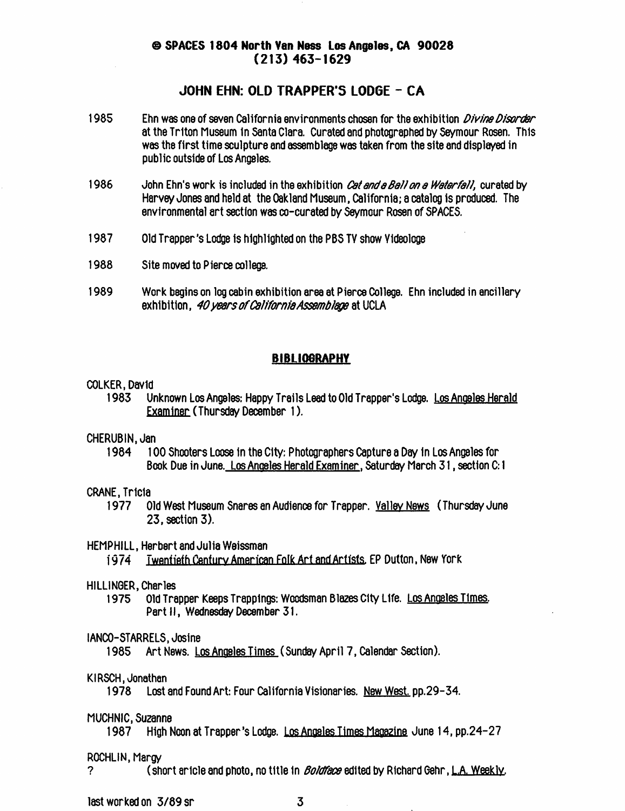#### 0 SPACES 1804 North Van Noss Los Angelos, CA 90028 (213) 463-1629

#### JOHN EHN: OLD TRAPPER'S L0D6E - CA

- 1985 Ehn was one of seven California environments chosen for the exhibition *Divine Disorder* at the Triton Museum In Santa Clara. Curated and photographed by Seymour Rosen. This was the first time sculpture and assemblage was taken from the site and displayed in public outside of Los Angeles.
- 1986 John Ehn's work is included in the exhibition Cet and a Ball on a Waterfall, curated by Harvey Jones and held at the Oakland Museum, California; a catalog is producal. The environmental art section was co-curated by Seymour Rosen of SPACES.
- 1987 Old Trapper's Lodge is highlighted on the PBS TV show Yicfeologe
- 1988 Site moved to Pierce college.
- 1989 Work begins on log cabin exhibition area at Pierce College. Ehn included in ancillary exhibition, 40 years of California Assemblage at UCLA

#### **BIBLIOGRAPHY**

# COLKER, David<br>I 983 U

Unknown Los Angeles: Happy Trails Lead to Old Trapper's Lodge. Los Angeles Herald Examiner (Thursday December 1).

# CHERUBIN, Jan<br>1984 10

1984 100 Shooters Loose in the City: Photographers Capture a Day in Los Angeles for Book Due in June. Los Anoeles Herald Examiner. Saturday March 31, section C: 1

# CRANE, Tricia

01d West Museum Snares an Audience for Trapper. Valley News (Thursday June 23, section 3).

#### HEMPHILL, Herbert and Julia Weissman

1974 Twentieth Century American Folk Art and Artists, EP Dutton, New York

### HILLINGER, Charles<br>1975 Old Tra

Old Trapper Keeps Trappings: Woodsman Blazes City Life. Los Angeles Times. Part II, Wednesday December 31.

# IANCO-STARRELS, Josine<br>1985 Art News. Lo

Art News. Los Angeles Times (Sunday April 7, Calendar Section).

#### KIRSCH, Jonathan

1978 Lost and Found Art: Four California Visionaries. New West. pp.29-34.

# MUCHNIC, Suzanne

High Noon at Trapper's Lodge. Los Angeles Times Magazine June 14, pp.24-27

# ROCHLIN, Margy<br>? (sh

(short aricle and photo, no title in *Boldface* edited by Richard Gehr, L.A. Weekly.